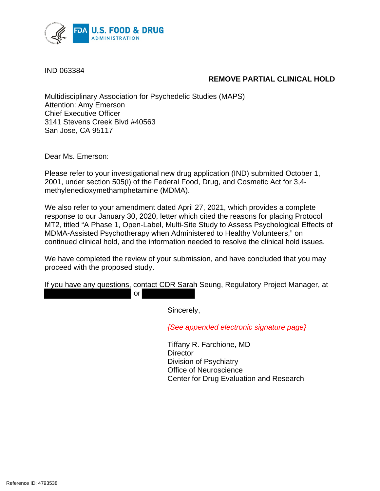

IND 063384

## **REMOVE PARTIAL CLINICAL HOLD**

Multidisciplinary Association for Psychedelic Studies (MAPS) Attention: Amy Emerson Chief Executive Officer 3141 Stevens Creek Blvd #40563 San Jose, CA 95117

Dear Ms. Emerson:

Please refer to your investigational new drug application (IND) submitted October 1, 2001, under section 505(i) of the Federal Food, Drug, and Cosmetic Act for 3,4 methylenedioxymethamphetamine (MDMA).

We also refer to your amendment dated April 27, 2021, which provides a complete response to our January 30, 2020, letter which cited the reasons for placing Protocol MT2, titled "A Phase 1, Open-Label, Multi-Site Study to Assess Psychological Effects of MDMA-Assisted Psychotherapy when Administered to Healthy Volunteers," on continued clinical hold, and the information needed to resolve the clinical hold issues.

We have completed the review of your submission, and have concluded that you may proceed with the proposed study.

If you have any questions, contact CDR Sarah Seung, Regulatory Project Manager, at or

Sincerely,

*{See appended electronic signature page}*

Tiffany R. Farchione, MD **Director** Division of Psychiatry Office of Neuroscience Center for Drug Evaluation and Research